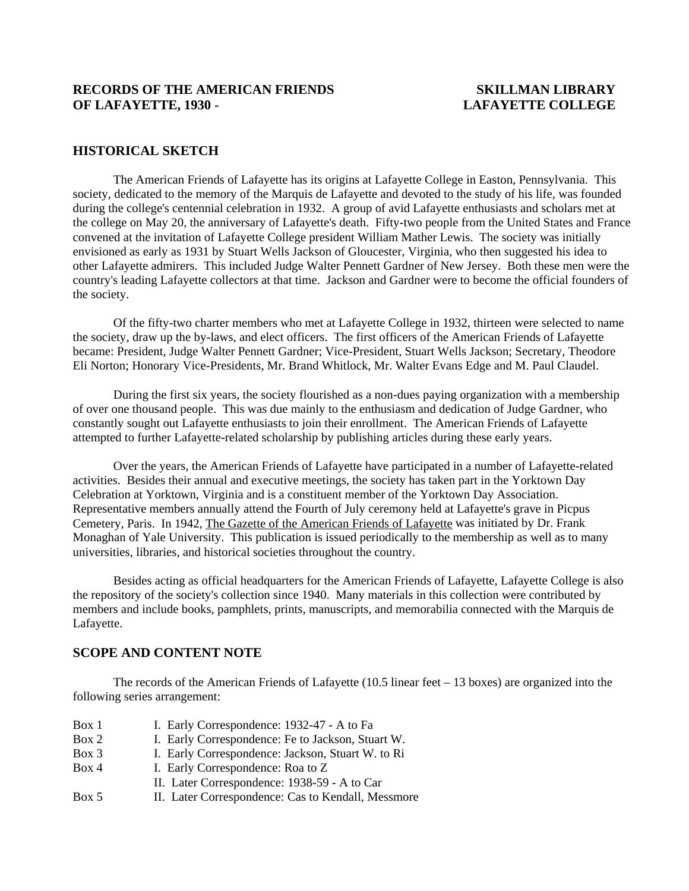### **RECORDS OF THE AMERICAN FRIENDS SKILLMAN LIBRARY OF LAFAYETTE, 1930 - LAFAYETTE COLLEGE**

#### **HISTORICAL SKETCH**

 The American Friends of Lafayette has its origins at Lafayette College in Easton, Pennsylvania. This society, dedicated to the memory of the Marquis de Lafayette and devoted to the study of his life, was founded during the college's centennial celebration in 1932. A group of avid Lafayette enthusiasts and scholars met at the college on May 20, the anniversary of Lafayette's death. Fifty-two people from the United States and France convened at the invitation of Lafayette College president William Mather Lewis. The society was initially envisioned as early as 1931 by Stuart Wells Jackson of Gloucester, Virginia, who then suggested his idea to other Lafayette admirers. This included Judge Walter Pennett Gardner of New Jersey. Both these men were the country's leading Lafayette collectors at that time. Jackson and Gardner were to become the official founders of the society.

 Of the fifty-two charter members who met at Lafayette College in 1932, thirteen were selected to name the society, draw up the by-laws, and elect officers. The first officers of the American Friends of Lafayette became: President, Judge Walter Pennett Gardner; Vice-President, Stuart Wells Jackson; Secretary, Theodore Eli Norton; Honorary Vice-Presidents, Mr. Brand Whitlock, Mr. Walter Evans Edge and M. Paul Claudel.

 During the first six years, the society flourished as a non-dues paying organization with a membership of over one thousand people. This was due mainly to the enthusiasm and dedication of Judge Gardner, who constantly sought out Lafayette enthusiasts to join their enrollment. The American Friends of Lafayette attempted to further Lafayette-related scholarship by publishing articles during these early years.

 Over the years, the American Friends of Lafayette have participated in a number of Lafayette-related activities. Besides their annual and executive meetings, the society has taken part in the Yorktown Day Celebration at Yorktown, Virginia and is a constituent member of the Yorktown Day Association. Representative members annually attend the Fourth of July ceremony held at Lafayette's grave in Picpus Cemetery, Paris. In 1942, The Gazette of the American Friends of Lafayette was initiated by Dr. Frank Monaghan of Yale University. This publication is issued periodically to the membership as well as to many universities, libraries, and historical societies throughout the country.

 Besides acting as official headquarters for the American Friends of Lafayette, Lafayette College is also the repository of the society's collection since 1940. Many materials in this collection were contributed by members and include books, pamphlets, prints, manuscripts, and memorabilia connected with the Marquis de Lafayette.

#### **SCOPE AND CONTENT NOTE**

 The records of the American Friends of Lafayette (10.5 linear feet – 13 boxes) are organized into the following series arrangement:

| Box 1 | I. Early Correspondence: 1932-47 - A to Fa         |
|-------|----------------------------------------------------|
| Box 2 | I. Early Correspondence: Fe to Jackson, Stuart W.  |
| Box 3 | I. Early Correspondence: Jackson, Stuart W. to Ri  |
| Box 4 | I. Early Correspondence: Roa to Z.                 |
|       | II. Later Correspondence: 1938-59 - A to Car       |
| Box 5 | II. Later Correspondence: Cas to Kendall, Messmore |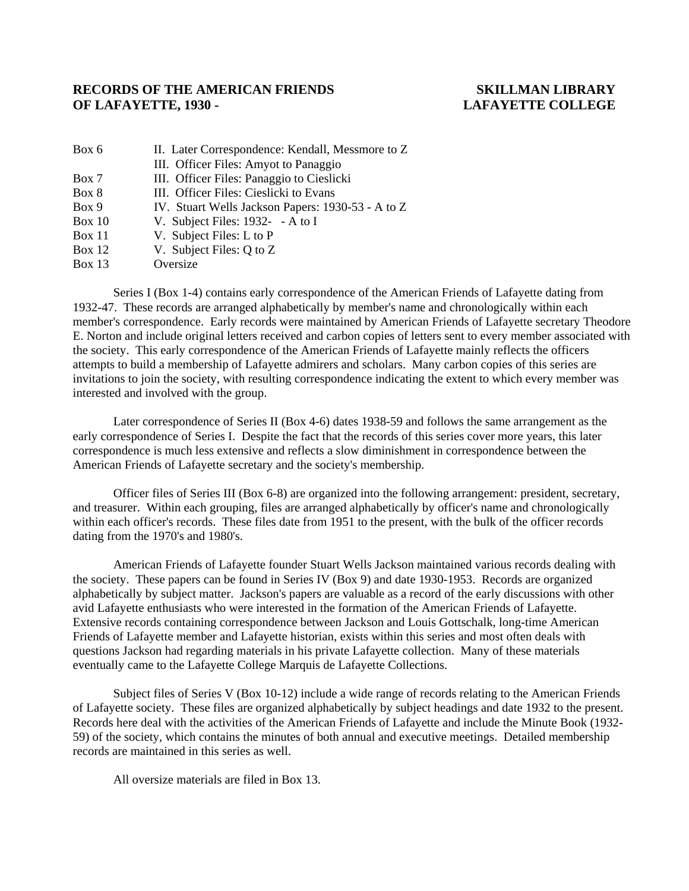#### **RECORDS OF THE AMERICAN FRIENDS SKILLMAN LIBRARY OF LAFAYETTE, 1930 - LAFAYETTE COLLEGE**

| Box 6         | II. Later Correspondence: Kendall, Messmore to Z  |  |  |
|---------------|---------------------------------------------------|--|--|
|               | III. Officer Files: Amyot to Panaggio             |  |  |
| Box 7         | III. Officer Files: Panaggio to Cieslicki         |  |  |
| Box 8         | III. Officer Files: Cieslicki to Evans            |  |  |
| Box 9         | IV. Stuart Wells Jackson Papers: 1930-53 - A to Z |  |  |
| <b>Box 10</b> | V. Subject Files: $1932 - A$ to I                 |  |  |
| <b>Box 11</b> | V. Subject Files: L to P                          |  |  |
| Box 12        | V. Subject Files: Q to Z                          |  |  |
|               |                                                   |  |  |

Box 13 Oversize

 Series I (Box 1-4) contains early correspondence of the American Friends of Lafayette dating from 1932-47. These records are arranged alphabetically by member's name and chronologically within each member's correspondence. Early records were maintained by American Friends of Lafayette secretary Theodore E. Norton and include original letters received and carbon copies of letters sent to every member associated with the society. This early correspondence of the American Friends of Lafayette mainly reflects the officers attempts to build a membership of Lafayette admirers and scholars. Many carbon copies of this series are invitations to join the society, with resulting correspondence indicating the extent to which every member was interested and involved with the group.

 Later correspondence of Series II (Box 4-6) dates 1938-59 and follows the same arrangement as the early correspondence of Series I. Despite the fact that the records of this series cover more years, this later correspondence is much less extensive and reflects a slow diminishment in correspondence between the American Friends of Lafayette secretary and the society's membership.

 Officer files of Series III (Box 6-8) are organized into the following arrangement: president, secretary, and treasurer. Within each grouping, files are arranged alphabetically by officer's name and chronologically within each officer's records. These files date from 1951 to the present, with the bulk of the officer records dating from the 1970's and 1980's.

 American Friends of Lafayette founder Stuart Wells Jackson maintained various records dealing with the society. These papers can be found in Series IV (Box 9) and date 1930-1953. Records are organized alphabetically by subject matter. Jackson's papers are valuable as a record of the early discussions with other avid Lafayette enthusiasts who were interested in the formation of the American Friends of Lafayette. Extensive records containing correspondence between Jackson and Louis Gottschalk, long-time American Friends of Lafayette member and Lafayette historian, exists within this series and most often deals with questions Jackson had regarding materials in his private Lafayette collection. Many of these materials eventually came to the Lafayette College Marquis de Lafayette Collections.

 Subject files of Series V (Box 10-12) include a wide range of records relating to the American Friends of Lafayette society. These files are organized alphabetically by subject headings and date 1932 to the present. Records here deal with the activities of the American Friends of Lafayette and include the Minute Book (1932- 59) of the society, which contains the minutes of both annual and executive meetings. Detailed membership records are maintained in this series as well.

All oversize materials are filed in Box 13.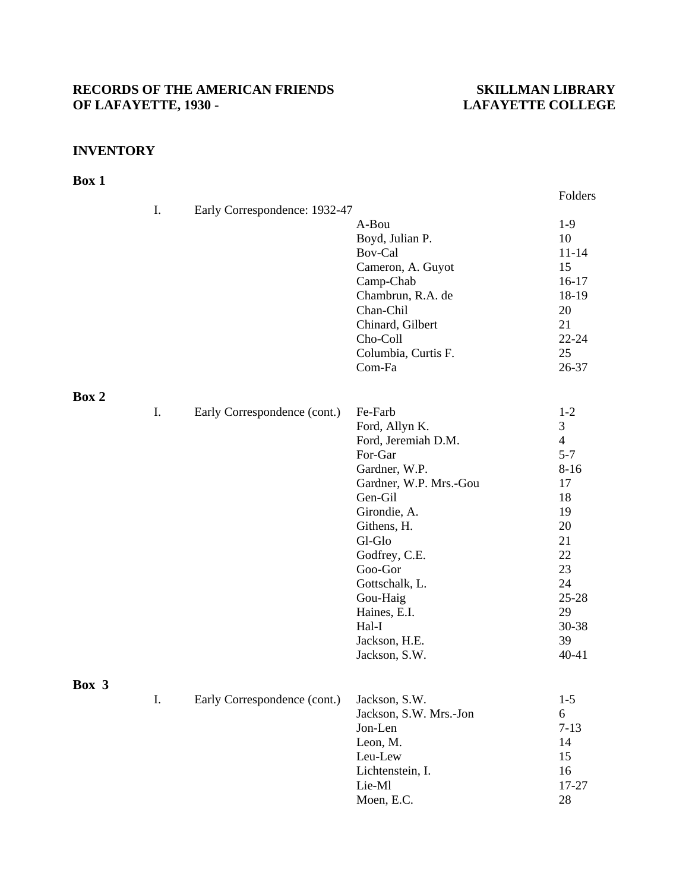# RECORDS OF THE AMERICAN FRIENDS SKILLMAN LIBRARY<br>OF LAFAYETTE, 1930 - LAFAYETTE COLLEGE

## **LAFAYETTE COLLEGE**

#### **INVENTORY**

### **Box 1**

|       |    |                               |                        | Folders        |
|-------|----|-------------------------------|------------------------|----------------|
|       | I. | Early Correspondence: 1932-47 |                        |                |
|       |    |                               | A-Bou                  | $1-9$          |
|       |    |                               | Boyd, Julian P.        | 10             |
|       |    |                               | Bov-Cal                | $11 - 14$      |
|       |    |                               | Cameron, A. Guyot      | 15             |
|       |    |                               | Camp-Chab              | $16-17$        |
|       |    |                               | Chambrun, R.A. de      | 18-19          |
|       |    |                               | Chan-Chil              | 20             |
|       |    |                               | Chinard, Gilbert       | 21             |
|       |    |                               | Cho-Coll               | $22 - 24$      |
|       |    |                               | Columbia, Curtis F.    | 25             |
|       |    |                               | Com-Fa                 | 26-37          |
| Box 2 |    |                               |                        |                |
|       | I. | Early Correspondence (cont.)  | Fe-Farb                | $1 - 2$        |
|       |    |                               | Ford, Allyn K.         | 3              |
|       |    |                               | Ford, Jeremiah D.M.    | $\overline{4}$ |
|       |    |                               | For-Gar                | $5 - 7$        |
|       |    |                               | Gardner, W.P.          | $8 - 16$       |
|       |    |                               | Gardner, W.P. Mrs.-Gou | 17             |
|       |    |                               | Gen-Gil                | 18             |
|       |    |                               | Girondie, A.           | 19             |
|       |    |                               | Githens, H.            | 20             |
|       |    |                               | Gl-Glo                 | 21             |
|       |    |                               | Godfrey, C.E.          | 22             |
|       |    |                               | Goo-Gor                | 23             |
|       |    |                               | Gottschalk, L.         | 24             |
|       |    |                               | Gou-Haig               | $25 - 28$      |
|       |    |                               | Haines, E.I.           | 29             |
|       |    |                               | Hal-I                  | 30-38          |
|       |    |                               | Jackson, H.E.          | 39             |
|       |    |                               | Jackson, S.W.          | $40 - 41$      |
| Box 3 |    |                               |                        |                |
|       | I. | Early Correspondence (cont.)  | Jackson, S.W.          | $1-5$          |
|       |    |                               | Jackson, S.W. Mrs.-Jon | 6              |
|       |    |                               | Jon-Len                | $7 - 13$       |
|       |    |                               | Leon, M.               | 14             |
|       |    |                               | Leu-Lew                | 15             |
|       |    |                               | Lichtenstein, I.       | 16             |
|       |    |                               | Lie-Ml                 | 17-27          |

Moen, E.C. 28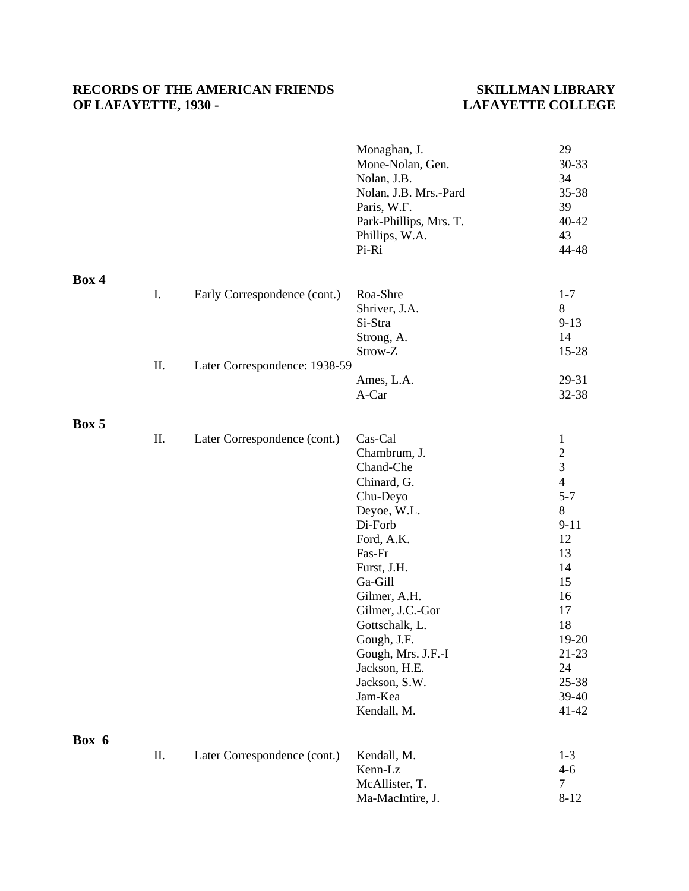### RECORDS OF THE AMERICAN FRIENDS SKILLMAN LIBRARY<br>OF LAFAYETTE, 1930 - LAFAYETTE COLLEGE **OF LAFAYETTE, 1930 -**

|       |     |                               | Monaghan, J.<br>Mone-Nolan, Gen.<br>Nolan, J.B.<br>Nolan, J.B. Mrs.-Pard<br>Paris, W.F.<br>Park-Phillips, Mrs. T.<br>Phillips, W.A.<br>Pi-Ri                                                                                                                                                       | 29<br>30-33<br>34<br>35-38<br>39<br>$40 - 42$<br>43<br>44-48                                                                                                                     |
|-------|-----|-------------------------------|----------------------------------------------------------------------------------------------------------------------------------------------------------------------------------------------------------------------------------------------------------------------------------------------------|----------------------------------------------------------------------------------------------------------------------------------------------------------------------------------|
| Box 4 | I.  | Early Correspondence (cont.)  | Roa-Shre<br>Shriver, J.A.                                                                                                                                                                                                                                                                          | $1 - 7$<br>8                                                                                                                                                                     |
|       |     |                               | Si-Stra<br>Strong, A.<br>Strow-Z                                                                                                                                                                                                                                                                   | $9-13$<br>14<br>$15 - 28$                                                                                                                                                        |
|       | II. | Later Correspondence: 1938-59 | Ames, L.A.<br>A-Car                                                                                                                                                                                                                                                                                | 29-31<br>32-38                                                                                                                                                                   |
| Box 5 |     |                               |                                                                                                                                                                                                                                                                                                    |                                                                                                                                                                                  |
|       | Π.  | Later Correspondence (cont.)  | Cas-Cal<br>Chambrum, J.<br>Chand-Che<br>Chinard, G.<br>Chu-Deyo<br>Deyoe, W.L.<br>Di-Forb<br>Ford, A.K.<br>Fas-Fr<br>Furst, J.H.<br>Ga-Gill<br>Gilmer, A.H.<br>Gilmer, J.C.-Gor<br>Gottschalk, L.<br>Gough, J.F.<br>Gough, Mrs. J.F.-I<br>Jackson, H.E.<br>Jackson, S.W.<br>Jam-Kea<br>Kendall, M. | $\mathbf{1}$<br>$\frac{2}{3}$<br>$\overline{4}$<br>$5 - 7$<br>8<br>$9 - 11$<br>12<br>13<br>14<br>15<br>16<br>17<br>18<br>19-20<br>$21 - 23$<br>24<br>25-38<br>39-40<br>$41 - 42$ |
| Box 6 | Π.  | Later Correspondence (cont.)  | Kendall, M.<br>Kenn-Lz<br>McAllister, T.<br>Ma-MacIntire, J.                                                                                                                                                                                                                                       | $1 - 3$<br>$4 - 6$<br>$\tau$<br>$8 - 12$                                                                                                                                         |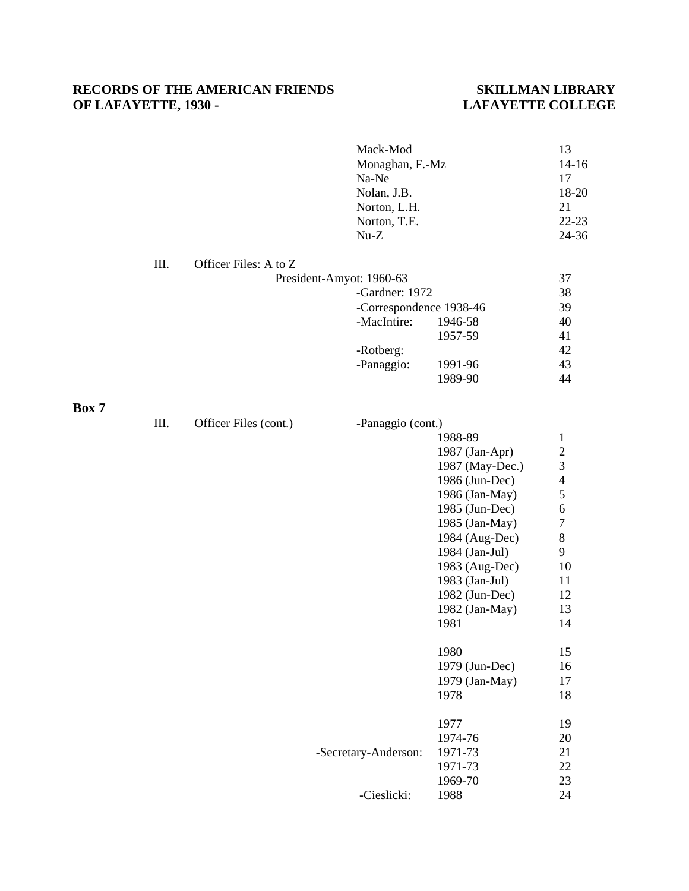### RECORDS OF THE AMERICAN FRIENDS<br>
OF LAFAYETTE, 1930 - LAFAYETTE COLLEGE **OF LAFAYETTE, 1930 -**

|       |      |                       | Mack-Mod<br>Monaghan, F.-Mz<br>Na-Ne<br>Nolan, J.B.<br>Norton, L.H.<br>Norton, T.E.<br>$Nu-Z$ |                 | 13<br>$14 - 16$<br>17<br>18-20<br>21<br>$22 - 23$<br>24-36 |
|-------|------|-----------------------|-----------------------------------------------------------------------------------------------|-----------------|------------------------------------------------------------|
|       | III. | Officer Files: A to Z |                                                                                               |                 |                                                            |
|       |      |                       | President-Amyot: 1960-63                                                                      |                 | 37                                                         |
|       |      |                       | -Gardner: 1972                                                                                |                 | 38                                                         |
|       |      |                       | -Correspondence 1938-46                                                                       |                 | 39                                                         |
|       |      |                       | -MacIntire:                                                                                   | 1946-58         | 40                                                         |
|       |      |                       |                                                                                               | 1957-59         | 41                                                         |
|       |      |                       | -Rotberg:                                                                                     |                 | 42                                                         |
|       |      |                       | -Panaggio:                                                                                    | 1991-96         | 43                                                         |
|       |      |                       |                                                                                               | 1989-90         | 44                                                         |
| Box 7 |      |                       |                                                                                               |                 |                                                            |
|       | III. | Officer Files (cont.) | -Panaggio (cont.)                                                                             |                 |                                                            |
|       |      |                       |                                                                                               | 1988-89         | $\mathbf{1}$                                               |
|       |      |                       |                                                                                               | 1987 (Jan-Apr)  |                                                            |
|       |      |                       |                                                                                               | 1987 (May-Dec.) | $\frac{2}{3}$                                              |
|       |      |                       |                                                                                               |                 | $\overline{\mathcal{L}}$                                   |
|       |      |                       |                                                                                               | 1986 (Jun-Dec)  |                                                            |
|       |      |                       |                                                                                               | 1986 (Jan-May)  | 5                                                          |
|       |      |                       |                                                                                               | 1985 (Jun-Dec)  | $\sqrt{6}$                                                 |
|       |      |                       |                                                                                               | 1985 (Jan-May)  | $\overline{7}$                                             |
|       |      |                       |                                                                                               | 1984 (Aug-Dec)  | $\,8\,$                                                    |
|       |      |                       |                                                                                               | 1984 (Jan-Jul)  | 9                                                          |
|       |      |                       |                                                                                               | 1983 (Aug-Dec)  | 10                                                         |
|       |      |                       |                                                                                               | 1983 (Jan-Jul)  | 11                                                         |
|       |      |                       |                                                                                               | 1982 (Jun-Dec)  | 12                                                         |
|       |      |                       |                                                                                               | 1982 (Jan-May)  | 13                                                         |
|       |      |                       |                                                                                               | 1981            | 14                                                         |
|       |      |                       |                                                                                               | 1980            | 15                                                         |
|       |      |                       |                                                                                               | 1979 (Jun-Dec)  | 16                                                         |
|       |      |                       |                                                                                               | 1979 (Jan-May)  | 17                                                         |
|       |      |                       |                                                                                               | 1978            | 18                                                         |
|       |      |                       |                                                                                               | 1977            | 19                                                         |
|       |      |                       |                                                                                               | 1974-76         | 20                                                         |
|       |      |                       | -Secretary-Anderson:                                                                          | 1971-73         | 21                                                         |
|       |      |                       |                                                                                               | 1971-73         | 22                                                         |
|       |      |                       |                                                                                               | 1969-70         | 23                                                         |
|       |      |                       | -Cieslicki:                                                                                   | 1988            | 24                                                         |
|       |      |                       |                                                                                               |                 |                                                            |

**Box 7**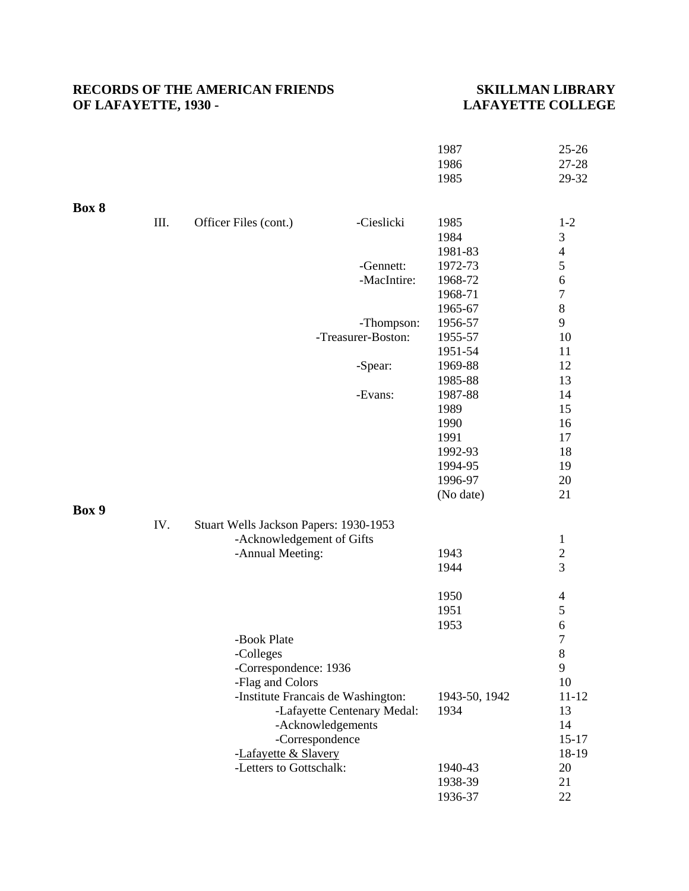### RECORDS OF THE AMERICAN FRIENDS SKILLMAN LIBRARY<br>OF LAFAYETTE, 1930 - LAFAYETTE COLLEGE **OF LAFAYETTE, 1930 -**

|       |      |                                        |                                    | 1987          | $25 - 26$        |
|-------|------|----------------------------------------|------------------------------------|---------------|------------------|
|       |      |                                        |                                    | 1986          | 27-28            |
|       |      |                                        |                                    | 1985          | 29-32            |
|       |      |                                        |                                    |               |                  |
| Box 8 | III. | Officer Files (cont.)                  | -Cieslicki                         | 1985          | $1 - 2$          |
|       |      |                                        |                                    | 1984          | $\mathfrak 3$    |
|       |      |                                        |                                    | 1981-83       | $\overline{4}$   |
|       |      |                                        | -Gennett:                          | 1972-73       | 5                |
|       |      |                                        | -MacIntire:                        | 1968-72       | $\overline{6}$   |
|       |      |                                        |                                    | 1968-71       | $\overline{7}$   |
|       |      |                                        |                                    | 1965-67       | $\boldsymbol{8}$ |
|       |      |                                        | -Thompson:                         | 1956-57       | 9                |
|       |      |                                        | -Treasurer-Boston:                 | 1955-57       | 10               |
|       |      |                                        |                                    | 1951-54       | 11               |
|       |      |                                        | -Spear:                            | 1969-88       | 12               |
|       |      |                                        |                                    | 1985-88       | 13               |
|       |      |                                        | -Evans:                            | 1987-88       | 14               |
|       |      |                                        |                                    | 1989          | 15               |
|       |      |                                        |                                    | 1990          | 16               |
|       |      |                                        |                                    | 1991          | 17               |
|       |      |                                        |                                    | 1992-93       | 18               |
|       |      |                                        |                                    | 1994-95       | 19               |
|       |      |                                        |                                    | 1996-97       | 20               |
|       |      |                                        |                                    | (No date)     | 21               |
| Box 9 | IV.  | Stuart Wells Jackson Papers: 1930-1953 |                                    |               |                  |
|       |      | -Acknowledgement of Gifts              |                                    |               | $\mathbf{1}$     |
|       |      | -Annual Meeting:                       |                                    | 1943          | $\overline{c}$   |
|       |      |                                        |                                    | 1944          | 3                |
|       |      |                                        |                                    |               |                  |
|       |      |                                        |                                    | 1950          | $\overline{4}$   |
|       |      |                                        |                                    | 1951          | 5                |
|       |      |                                        |                                    | 1953          | $\overline{6}$   |
|       |      | -Book Plate                            |                                    |               | 7                |
|       |      | -Colleges                              |                                    |               | 8                |
|       |      | -Correspondence: 1936                  |                                    |               | 9                |
|       |      | -Flag and Colors                       |                                    |               | 10               |
|       |      |                                        | -Institute Francais de Washington: | 1943-50, 1942 | $11 - 12$        |
|       |      |                                        | -Lafayette Centenary Medal:        | 1934          | 13               |
|       |      |                                        | -Acknowledgements                  |               | 14               |
|       |      |                                        | -Correspondence                    |               | $15 - 17$        |
|       |      | -Lafayette & Slavery                   |                                    |               | 18-19            |
|       |      | -Letters to Gottschalk:                |                                    | 1940-43       | 20               |
|       |      |                                        |                                    | 1938-39       | 21               |
|       |      |                                        |                                    | 1936-37       | 22               |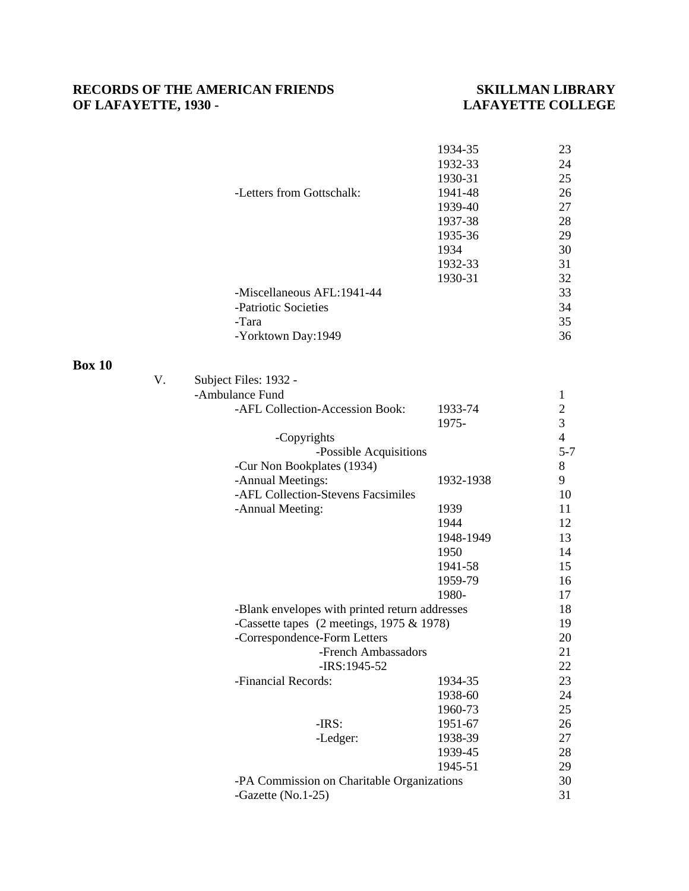### RECORDS OF THE AMERICAN FRIENDS SKILLMAN LIBRARY<br>OF LAFAYETTE, 1930 - LAFAYETTE COLLEGE **OF LAFAYETTE, 1930 -**

|               |    | -Letters from Gottschalk:<br>-Miscellaneous AFL:1941-44<br>-Patriotic Societies<br>-Tara<br>-Yorktown Day:1949 | 1934-35<br>1932-33<br>1930-31<br>1941-48<br>1939-40<br>1937-38<br>1935-36<br>1934<br>1932-33<br>1930-31 | 23<br>24<br>25<br>26<br>27<br>28<br>29<br>30<br>31<br>32<br>33<br>34<br>35<br>36 |
|---------------|----|----------------------------------------------------------------------------------------------------------------|---------------------------------------------------------------------------------------------------------|----------------------------------------------------------------------------------|
|               |    |                                                                                                                |                                                                                                         |                                                                                  |
| <b>Box 10</b> | V. | Subject Files: 1932 -                                                                                          |                                                                                                         |                                                                                  |
|               |    | -Ambulance Fund                                                                                                |                                                                                                         | $\mathbf{1}$                                                                     |
|               |    | -AFL Collection-Accession Book:                                                                                | 1933-74                                                                                                 |                                                                                  |
|               |    |                                                                                                                | 1975-                                                                                                   | $\frac{2}{3}$                                                                    |
|               |    | -Copyrights                                                                                                    |                                                                                                         | $\overline{4}$                                                                   |
|               |    | -Possible Acquisitions                                                                                         |                                                                                                         | $5 - 7$                                                                          |
|               |    | -Cur Non Bookplates (1934)                                                                                     |                                                                                                         | $8\,$                                                                            |
|               |    | -Annual Meetings:                                                                                              | 1932-1938                                                                                               | 9                                                                                |
|               |    | -AFL Collection-Stevens Facsimiles                                                                             |                                                                                                         | 10                                                                               |
|               |    | -Annual Meeting:                                                                                               | 1939                                                                                                    | 11                                                                               |
|               |    |                                                                                                                | 1944                                                                                                    | 12                                                                               |
|               |    |                                                                                                                | 1948-1949                                                                                               | 13                                                                               |
|               |    |                                                                                                                | 1950                                                                                                    | 14                                                                               |
|               |    |                                                                                                                | 1941-58                                                                                                 | 15                                                                               |
|               |    |                                                                                                                | 1959-79                                                                                                 | 16                                                                               |
|               |    |                                                                                                                | 1980-                                                                                                   | 17                                                                               |
|               |    | -Blank envelopes with printed return addresses                                                                 |                                                                                                         | 18                                                                               |
|               |    | -Cassette tapes $(2$ meetings, 1975 & 1978)                                                                    |                                                                                                         | 19                                                                               |
|               |    | -Correspondence-Form Letters                                                                                   |                                                                                                         | 20                                                                               |
|               |    | -French Ambassadors<br>-IRS:1945-52                                                                            |                                                                                                         | 21<br>22                                                                         |
|               |    | -Financial Records:                                                                                            | 1934-35                                                                                                 | 23                                                                               |
|               |    |                                                                                                                | 1938-60                                                                                                 | 24                                                                               |
|               |    |                                                                                                                | 1960-73                                                                                                 | 25                                                                               |
|               |    | $-IRS$ :                                                                                                       | 1951-67                                                                                                 | 26                                                                               |
|               |    | -Ledger:                                                                                                       | 1938-39                                                                                                 | 27                                                                               |
|               |    |                                                                                                                | 1939-45                                                                                                 | 28                                                                               |
|               |    |                                                                                                                | 1945-51                                                                                                 | 29                                                                               |
|               |    | -PA Commission on Charitable Organizations                                                                     |                                                                                                         | 30                                                                               |
|               |    | -Gazette (No.1-25)                                                                                             |                                                                                                         | 31                                                                               |